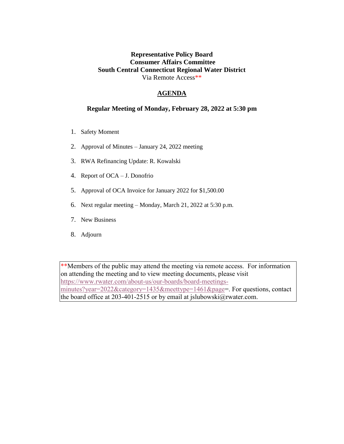### **Representative Policy Board Consumer Affairs Committee South Central Connecticut Regional Water District** Via Remote Access\*\*

### **AGENDA**

#### **Regular Meeting of Monday, February 28, 2022 at 5:30 pm**

- 1. Safety Moment
- 2. Approval of Minutes January 24, 2022 meeting
- 3. RWA Refinancing Update: R. Kowalski
- 4. Report of OCA J. Donofrio
- 5. Approval of OCA Invoice for January 2022 for \$1,500.00
- 6. Next regular meeting Monday, March 21, 2022 at 5:30 p.m.
- 7. New Business
- 8. Adjourn

\*\*Members of the public may attend the meeting via remote access. For information on attending the meeting and to view meeting documents, please visit [https://www.rwater.com/about-us/our-boards/board-meetings](https://www.rwater.com/about-us/our-boards/board-meetings-minutes?year=2022&category=1435&meettype=1461&page)[minutes?year=2022&category=1435&meettype=1461&page=](https://www.rwater.com/about-us/our-boards/board-meetings-minutes?year=2022&category=1435&meettype=1461&page). For questions, contact the board office at 203-401-2515 or by email at jslubowski@rwater.com.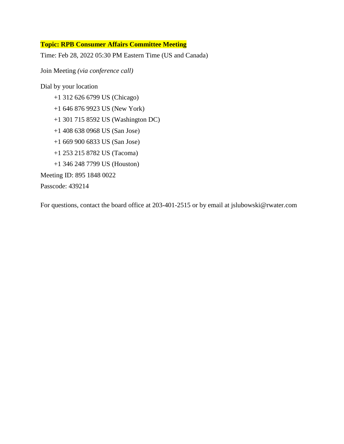#### **Topic: RPB Consumer Affairs Committee Meeting**

Time: Feb 28, 2022 05:30 PM Eastern Time (US and Canada)

Join Meeting *(via conference call)*

Dial by your location +1 312 626 6799 US (Chicago) +1 646 876 9923 US (New York) +1 301 715 8592 US (Washington DC) +1 408 638 0968 US (San Jose) +1 669 900 6833 US (San Jose) +1 253 215 8782 US (Tacoma) +1 346 248 7799 US (Houston) Meeting ID: 895 1848 0022 Passcode: 439214

For questions, contact the board office at 203-401-2515 or by email at jslubowski@rwater.com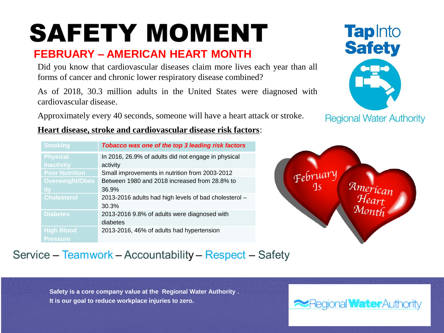# **SAFETY MOMENT**

## **FEBRUARY – AMERICAN HEART MONTH**

Did you know that cardiovascular diseases claim more lives each year than all forms of cancer and chronic lower respiratory disease combined?

As of 2018, 30.3 million adults in the United States were diagnosed with cardiovascular disease.

Approximately every 40 seconds, someone will have a heart attack or stroke.



**Regional Water Authority** 

### **Heart disease, stroke and cardiovascular disease risk factors**:

| <b>Smoking</b>         | Tobacco was one of the top 3 leading risk factors     |
|------------------------|-------------------------------------------------------|
| <b>Physical</b>        | In 2016, 26.9% of adults did not engage in physical   |
| <b>Inactivity</b>      | activity                                              |
| <b>Poor Nutrition</b>  | Small improvements in nutrition from 2003-2012        |
| <b>Overweight/Obes</b> | Between 1980 and 2018 increased from 28.8% to         |
|                        | 36.9%                                                 |
| <b>Cholesterol</b>     | 2013-2016 adults had high levels of bad cholesterol - |
|                        | 30.3%                                                 |
| <b>Diabetes</b>        | 2013-2016 9.8% of adults were diagnosed with          |
|                        | diabetes                                              |
| <b>High Blood</b>      | 2013-2016, 46% of adults had hypertension             |
| <b>Pressure</b>        |                                                       |



### Service - Teamwork - Accountability - Respect - Safety

**Safety is a core company value at the Regional Water Authority . It is our goal to reduce workplace injuries to zero.** 

ional **Water** Authority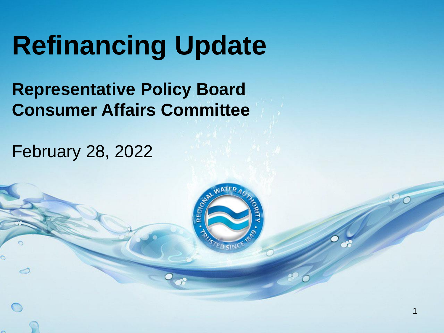# **Refinancing Update**

# **Representative Policy Board Consumer Affairs Committee**

February 28, 2022

 $\circ$ 



1